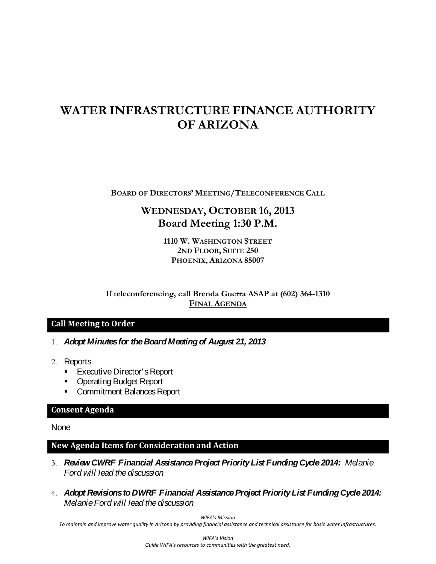# **WATER INFRASTRUCTURE FINANCE AUTHORITY OF ARIZONA**

**BOARD OF DIRECTORS' MEETING/TELECONFERENCE CALL**

# **WEDNESDAY, OCTOBER 16, 2013 Board Meeting 1:30 P.M.**

**1110 W. WASHINGTON STREET 2ND FLOOR, SUITE 250 PHOENIX, ARIZONA 85007**

**If teleconferencing, call Brenda Guerra ASAP at (602) 364-1310 FINAL AGENDA**

## **Call Meeting to Order**

- 1. *Adopt Minutes for the Board Meeting of August 21, 2013*
- 2. Reports
	- **Executive Director's Report**
	- **Operating Budget Report**
	- **Commitment Balances Report**

#### **Consent Agenda**

None

## **New Agenda Items for Consideration and Action**

- 3. *Review CWRF Financial Assistance Project Priority List Funding Cycle 2014: Melanie Ford will lead the discussion*
- 4. *Adopt Revisions to DWRF Financial Assistance Project Priority List Funding Cycle 2014: MelanieFord will lead the discussion*

*WIFA's Mission*

*To maintain and improve water quality in Arizona by providing financial assistance and technical assistance for basic water infrastructures.*